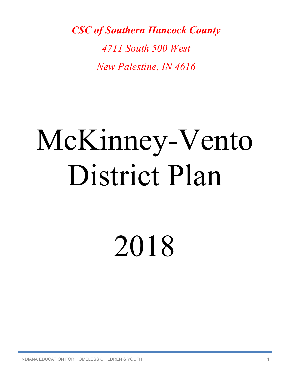*CSC of Southern Hancock County*

*4711 South 500 West New Palestine, IN 4616*

# McKinney-Vento District Plan

2018

INDIANA EDUCATION FOR HOMELESS CHILDREN & YOUTH 1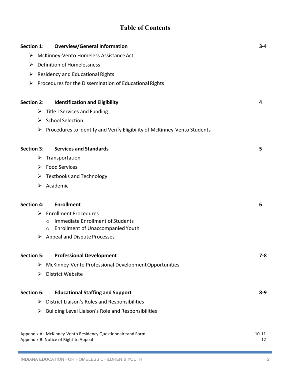# **Table of Contents**

| <b>Overview/General Information</b><br>Section 1:                                                     | $3 - 4$         |  |
|-------------------------------------------------------------------------------------------------------|-----------------|--|
| McKinney-Vento Homeless Assistance Act<br>➤                                                           |                 |  |
| <b>Definition of Homelessness</b><br>➤                                                                |                 |  |
| <b>Residency and Educational Rights</b><br>➤                                                          |                 |  |
| Procedures for the Dissemination of Educational Rights<br>➤                                           |                 |  |
|                                                                                                       |                 |  |
| <b>Section 2:</b><br><b>Identification and Eligibility</b>                                            | 4               |  |
| Title I Services and Funding<br>➤                                                                     |                 |  |
| > School Selection                                                                                    |                 |  |
| Procedures to Identify and Verify Eligibility of McKinney-Vento Students<br>➤                         |                 |  |
|                                                                                                       |                 |  |
| <b>Services and Standards</b><br>Section 3:                                                           | 5               |  |
| Transportation<br>➤                                                                                   |                 |  |
| <b>Food Services</b><br>➤                                                                             |                 |  |
| <b>Textbooks and Technology</b><br>➤                                                                  |                 |  |
| Academic<br>➤                                                                                         |                 |  |
|                                                                                                       |                 |  |
| <b>Enrollment</b><br><b>Section 4:</b>                                                                | 6               |  |
| <b>Enrollment Procedures</b><br>➤                                                                     |                 |  |
| Immediate Enrollment of Students<br>$\bigcirc$<br><b>Enrollment of Unaccompanied Youth</b><br>$\circ$ |                 |  |
| <b>Appeal and Dispute Processes</b><br>➤                                                              |                 |  |
|                                                                                                       |                 |  |
| <b>Professional Development</b><br><b>Section 5:</b>                                                  | 7-8             |  |
| McKinney-Vento Professional Development Opportunities<br>➤                                            |                 |  |
| <b>District Website</b><br>➤                                                                          |                 |  |
|                                                                                                       |                 |  |
| Section 6:<br><b>Educational Staffing and Support</b>                                                 | $8-9$           |  |
| District Liaison's Roles and Responsibilities<br>➤                                                    |                 |  |
| Building Level Liaison's Role and Responsibilities<br>➤                                               |                 |  |
|                                                                                                       |                 |  |
| Appendix A: McKinney-Vento Residency Questionnaireand Form<br>Appendix B: Notice of Right to Appeal   | $10 - 11$<br>12 |  |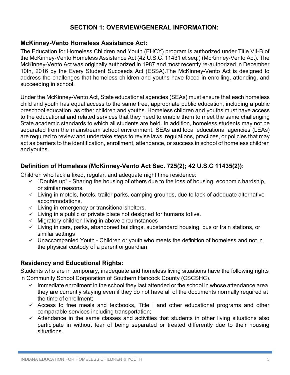# **SECTION 1: OVERVIEW/GENERAL INFORMATION:**

#### **McKinney-Vento Homeless Assistance Act:**

The Education for Homeless Children and Youth (EHCY) program is authorized under Title VII-B of the McKinney-Vento Homeless Assistance Act (42 U.S.C. 11431 et seq.) (McKinney-Vento Act). The McKinney-Vento Act was originally authorized in 1987 and most recently re-authorized in December 10th, 2016 by the Every Student Succeeds Act (ESSA).The McKinney-Vento Act is designed to address the challenges that homeless children and youths have faced in enrolling, attending, and succeeding in school.

Under the McKinney-Vento Act, State educational agencies (SEAs) must ensure that each homeless child and youth has equal access to the same free, appropriate public education, including a public preschool education, as other children and youths. Homeless children and youths must have access to the educational and related services that they need to enable them to meet the same challenging State academic standards to which all students are held. In addition, homeless students may not be separated from the mainstream school environment. SEAs and local educational agencies (LEAs) are required to review and undertake steps to revise laws, regulations, practices, or policies that may act as barriers to the identification, enrollment, attendance, or success in school of homeless children andyouths.

# **Definition of Homeless (McKinney-Vento Act Sec. 725(2); 42 U.S.C 11435(2)):**

Children who lack a fixed, regular, and adequate night time residence:

- $\checkmark$  "Double up" Sharing the housing of others due to the loss of housing, economic hardship, or similar reasons.
- $\checkmark$  Living in motels, hotels, trailer parks, camping grounds, due to lack of adequate alternative accommodations.
- $\checkmark$  Living in emergency or transitional shelters.
- $\checkmark$  Living in a public or private place not designed for humans tolive.
- $\checkmark$  Migratory children living in above circumstances
- $\checkmark$  Living in cars, parks, abandoned buildings, substandard housing, bus or train stations, or similar settings
- $\checkmark$  Unaccompanied Youth Children or youth who meets the definition of homeless and not in the physical custody of a parent or guardian

## **Residency and Educational Rights:**

Students who are in temporary, inadequate and homeless living situations have the following rights in Community School Corporation of Southern Hancock County (CSCSHC).

- $\checkmark$  Immediate enrollment in the school they last attended or the school in whose attendance area they are currently staying even if they do not have all of the documents normally required at the time of enrollment;
- $\checkmark$  Access to free meals and textbooks, Title I and other educational programs and other comparable services including transportation;
- $\checkmark$  Attendance in the same classes and activities that students in other living situations also participate in without fear of being separated or treated differently due to their housing situations.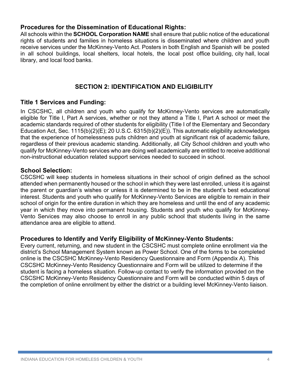#### **Procedures for the Dissemination of Educational Rights:**

All schools within the **SCHOOL Corporation NAME** shall ensure that public notice of the educational rights of students and families in homeless situations is disseminated where children and youth receive services under the McKinney-Vento Act. Posters in both English and Spanish will be posted in all school buildings, local shelters, local hotels, the local post office building, city hall, local library, and local food banks.

# **SECTION 2: IDENTIFICATION AND ELIGIBILITY**

#### **Title 1 Services and Funding:**

In CSCSHC, all children and youth who qualify for McKinney-Vento services are automatically eligible for Title I, Part A services, whether or not they attend a Title I, Part A school or meet the academic standards required of other students for eligibility (Title I of the Elementary and Secondary Education Act, Sec. 1115(b)(2)(E); 20 U.S.C. 6315(b)(2)(E)). This automatic eligibility acknowledges that the experience of homelessness puts children and youth at significant risk of academic failure, regardless of their previous academic standing. Additionally, all City School children and youth who qualify for McKinney-Vento services who are doing well academically are entitled to receive additional non-instructional education related support services needed to succeed in school.

#### **School Selection:**

CSCSHC will keep students in homeless situations in their school of origin defined as the school attended when permanently housed or the school in which they were last enrolled, unless it is against the parent or guardian's wishes or unless it is determined to be in the student's best educational interest. Students and youth who qualify for McKinney-Vento Services are eligible to remain in their school of origin for the entire duration in which they are homeless and until the end of any academic year in which they move into permanent housing. Students and youth who qualify for McKinney-Vento Services may also choose to enroll in any public school that students living in the same attendance area are eligible to attend.

#### **Procedures to Identify and Verify Eligibility of McKinney-Vento Students:**

Every current, returning, and new student in the CSCSHC must complete online enrollment via the district's School Management System known as Power School. One of the forms to be completed online is the CSCSHC McKinney-Vento Residency Questionnaire and Form (Appendix A). This CSCSHC McKinney-Vento Residency Questionnaire and Form will be utilized to determine if the student is facing a homeless situation. Follow-up contact to verify the information provided on the CSCSHC McKinney-Vento Residency Questionnaire and Form will be conducted within 5 days of the completion of online enrollment by either the district or a building level McKinney-Vento liaison.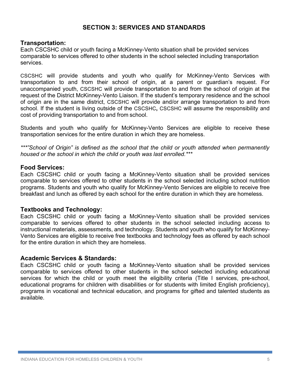#### **SECTION 3: SERVICES AND STANDARDS**

#### **Transportation:**

Each CSCSHC child or youth facing a McKinney-Vento situation shall be provided services comparable to services offered to other students in the school selected including transportation services.

CSCSHC will provide students and youth who qualify for McKinney-Vento Services with transportation to and from their school of origin, at a parent or guardian's request. For unaccompanied youth, CSCSHC will provide transportation to and from the school of origin at the request of the District McKinney-Vento Liaison. If the student's temporary residence and the school of origin are in the same district, CSCSHC will provide and/or arrange transportation to and from school. If the student is living outside of the CSCSHC**,** CSCSHC will assume the responsibility and cost of providing transportation to and from school.

Students and youth who qualify for McKinney-Vento Services are eligible to receive these transportation services for the entire duration in which they are homeless.

*\*\*\*"School of Origin" is defined as the school that the child or youth attended when permanently housed or the school in which the child or youth was last enrolled.\*\*\**

#### **Food Services:**

Each CSCSHC child or youth facing a McKinney-Vento situation shall be provided services comparable to services offered to other students in the school selected including school nutrition programs. Students and youth who qualify for McKinney-Vento Services are eligible to receive free breakfast and lunch as offered by each school for the entire duration in which they are homeless.

#### **Textbooks and Technology:**

Each CSCSHC child or youth facing a McKinney-Vento situation shall be provided services comparable to services offered to other students in the school selected including access to instructional materials, assessments, and technology. Students and youth who qualify for McKinney-Vento Services are eligible to receive free textbooks and technology fees as offered by each school for the entire duration in which they are homeless.

#### **Academic Services & Standards:**

Each CSCSHC child or youth facing a McKinney-Vento situation shall be provided services comparable to services offered to other students in the school selected including educational services for which the child or youth meet the eligibility criteria (Title I services, pre-school, educational programs for children with disabilities or for students with limited English proficiency), programs in vocational and technical education, and programs for gifted and talented students as available.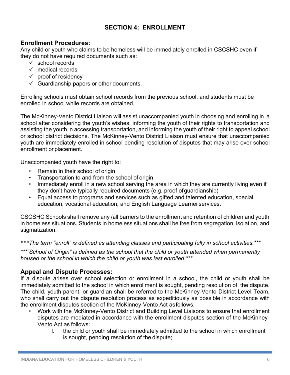# **SECTION 4: ENROLLMENT**

#### **Enrollment Procedures:**

Any child or youth who claims to be homeless will be immediately enrolled in CSCSHC even if they do not have required documents such as:

- $\checkmark$  school records
- $\checkmark$  medical records
- $\checkmark$  proof of residency
- $\checkmark$  Guardianship papers or other documents.

Enrolling schools must obtain school records from the previous school, and students must be enrolled in school while records are obtained.

The McKinney-Vento District Liaison will assist unaccompanied youth in choosing and enrolling in a school after considering the youth's wishes, informing the youth of their rights to transportation and assisting the youth in accessing transportation, and informing the youth of their right to appeal school or school district decisions. The McKinney-Vento District Liaison must ensure that unaccompanied youth are immediately enrolled in school pending resolution of disputes that may arise over school enrollment or placement.

Unaccompanied youth have the right to:

- Remain in their school of origin
- Transportation to and from the school of origin
- Immediately enroll in a new school serving the area in which they are currently living even if they don't have typically required documents (e.g. proof ofguardianship)
- Equal access to programs and services such as gifted and talented education, special education, vocational education, and English Language Learner services.

CSCSHC Schools shall remove any /all barriers to the enrollment and retention of children and youth in homeless situations. Students in homeless situations shall be free from segregation, isolation, and stigmatization.

*\*\*\*The term "enroll" is defined as attending classes and participating fully in school activities.\*\*\**

*\*\*\*"School of Origin" is defined as the school that the child or youth attended when permanently housed or the school in which the child or youth was last enrolled.\*\*\**

#### **Appeal and Dispute Processes:**

If a dispute arises over school selection or enrollment in a school, the child or youth shall be immediately admitted to the school in which enrollment is sought, pending resolution of the dispute. The child, youth parent, or guardian shall be referred to the McKinney-Vento District Level Team, who shall carry out the dispute resolution process as expeditiously as possible in accordance with the enrollment disputes section of the McKinney-Vento Act asfollows.

- Work with the McKinney-Vento District and Building Level Liaisons to ensure that enrollment disputes are mediated in accordance with the enrollment disputes section of the McKinney-Vento Act as follows:
	- I. the child or youth shall be immediately admitted to the school in which enrollment is sought, pending resolution of the dispute;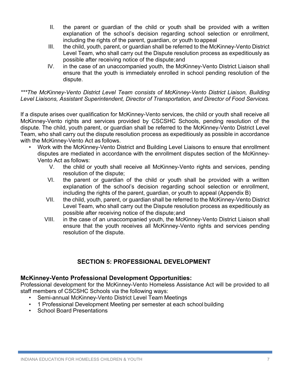- II. the parent or guardian of the child or youth shall be provided with a written explanation of the school's decision regarding school selection or enrollment, including the rights of the parent, guardian, or youth toappeal
- III. the child, youth, parent, or guardian shall be referred to the McKinney-Vento District Level Team, who shall carry out the Dispute resolution process as expeditiously as possible after receiving notice of the dispute;and
- IV. in the case of an unaccompanied youth, the McKinney-Vento District Liaison shall ensure that the youth is immediately enrolled in school pending resolution of the dispute.

#### *\*\*\*The McKinney-Vento District Level Team consists of McKinney-Vento District Liaison, Building Level Liaisons, Assistant Superintendent, Director of Transportation, and Director of Food Services.*

If a dispute arises over qualification for McKinney-Vento services, the child or youth shall receive all McKinney-Vento rights and services provided by CSCSHC Schools, pending resolution of the dispute. The child, youth parent, or guardian shall be referred to the McKinney-Vento District Level Team, who shall carry out the dispute resolution process as expeditiously as possible in accordance with the McKinney-Vento Act as follows.

- Work with the McKinney-Vento District and Building Level Liaisons to ensure that enrollment disputes are mediated in accordance with the enrollment disputes section of the McKinney-Vento Act as follows:
	- V. the child or youth shall receive all McKinney-Vento rights and services, pending resolution of the dispute;
	- VI. the parent or guardian of the child or youth shall be provided with a written explanation of the school's decision regarding school selection or enrollment, including the rights of the parent, guardian, or youth to appeal (Appendix B)
	- VII. the child, youth, parent, or guardian shall be referred to the McKinney-Vento District Level Team, who shall carry out the Dispute resolution process as expeditiously as possible after receiving notice of the dispute;and
	- VIII. in the case of an unaccompanied youth, the McKinney-Vento District Liaison shall ensure that the youth receives all McKinney-Vento rights and services pending resolution of the dispute.

# **SECTION 5: PROFESSIONAL DEVELOPMENT**

## **McKinney-Vento Professional Development Opportunities:**

Professional development for the McKinney-Vento Homeless Assistance Act will be provided to all staff members of CSCSHC Schools via the following ways:

- Semi-annual McKinney-Vento District Level Team Meetings
- 1 Professional Development Meeting per semester at each school building
- School Board Presentations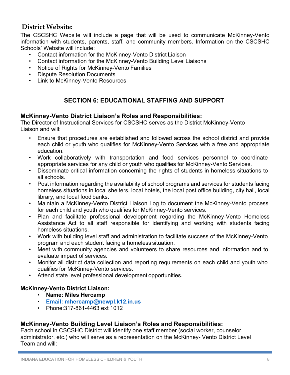# **District Website:**

The CSCSHC Website will include a page that will be used to communicate McKinney-Vento information with students, parents, staff, and community members. Information on the CSCSHC Schools' Website will include:

- Contact information for the McKinney-Vento District Liaison
- Contact information for the McKinney-Vento Building Level Liaisons
- Notice of Rights for McKinney-Vento Families
- Dispute Resolution Documents
- Link to McKinney-Vento Resources

# **SECTION 6: EDUCATIONAL STAFFING AND SUPPORT**

#### **McKinney-Vento District Liaison's Roles and Responsibilities:**

The Director of Instructional Services for CSCSHC serves as the District McKinney-Vento Liaison and will:

- Ensure that procedures are established and followed across the school district and provide each child or youth who qualifies for McKinney-Vento Services with a free and appropriate education.
- Work collaboratively with transportation and food services personnel to coordinate appropriate services for any child or youth who qualifies for McKinney-Vento Services.
- Disseminate critical information concerning the rights of students in homeless situations to all schools.
- Post information regarding the availability of school programs and services for students facing homeless situations in local shelters, local hotels, the local post office building, city hall, local library, and local food banks.
- Maintain a McKinney-Vento District Liaison Log to document the McKinney-Vento process for each child and youth who qualifies for McKinney-Vento services.
- Plan and facilitate professional development regarding the McKinney-Vento Homeless Assistance Act to all staff responsible for identifying and working with students facing homeless situations.
- Work with building level staff and administration to facilitate success of the McKinney-Vento program and each student facing a homeless situation.
- Meet with community agencies and volunteers to share resources and information and to evaluate impact of services.
- Monitor all district data collection and reporting requirements on each child and youth who qualifies for McKinney-Vento services.
- Attend state level professional development opportunities.

#### **McKinney-Vento District Liaison:**

- **Name: Miles Hercamp**
- **Email: mhercamp@newpl.k12.in.us**
- Phone:317-861-4463 ext 1012

#### **McKinney-Vento Building Level Liaison's Roles and Responsibilities:**

Each school in CSCSHC District will identify one staff member (social worker, counselor, administrator, etc.) who will serve as a representation on the McKinney- Vento District Level Team and will: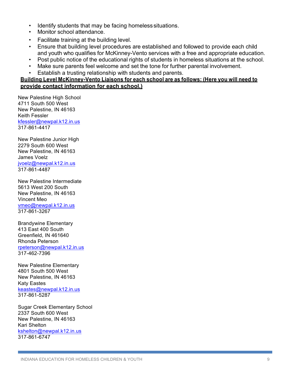- Identify students that may be facing homeless situations.
- Monitor school attendance.
- Facilitate training at the building level.
- Ensure that building level procedures are established and followed to provide each child and youth who qualifies for McKinney-Vento services with a free and appropriate education.
- Post public notice of the educational rights of students in homeless situations at the school.
- Make sure parents feel welcome and set the tone for further parental involvement.
- Establish a trusting relationship with students and parents.

#### **Building Level McKinney-Vento Liaisons for each school are as follows: (Here you will need to provide contact information for each school.)**

New Palestine High School 4711 South 500 West New Palestine, IN 46163 Keith Fessler kfessler@newpal.k12.in.us 317-861-4417

New Palestine Junior High 2279 South 600 West New Palestine, IN 46163 James Voelz jvoelz@newpal.k12.in.us 317-861-4487

New Palestine Intermediate 5613 West 200 South New Palestine, IN 46163 Vincent Meo vmeo@newpal.k12.in.us 317-861-3267

Brandywine Elementary 413 East 400 South Greenfield, IN 461640 Rhonda Peterson rpeterson@newpal.k12.in.us 317-462-7396

New Palestine Elementary 4801 South 500 West New Palestine, IN 46163 Katy Eastes keastes@newpal.k12.in.us 317-861-5287

Sugar Creek Elementary School 2337 South 600 West New Palestine, IN 46163 Kari Shelton kshelton@newpal.k12.in.us 317-861-6747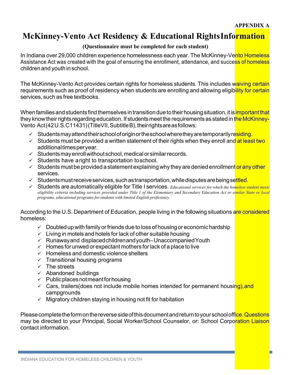# **McKinney-Vento Act Residency & Educational RightsInformation**

#### **(Questionnaire must be completed for each student)**

In Indiana over 29,000 children experience homelessness each year. The McKinney-Vento Homeless Assistance Act was created with the goal of ensuring the enrollment, attendance, and success of homeless children and youth inschool.

The McKinney-Vento Act provides certain rights for homeless students. This includes waiving certain requirements such as proof of residency when students are enrolling and allowing eligibility for certain services, such as free textbooks.

When families and students find themselves in transition due to their housing situation, it is important that they know their rights regarding education. If students meet the requirements as stated in the McKinney-Vento Act(42U.S.C11431)(TitleVII, SubtitleB), theirrights are as follows:

- $\checkmark$  Studentsmay attend their school of origin or the school where they are temporarily residing.
- $\checkmark$  Students must be provided a written statement of their rights when they enroll and at least two additional times per year.
- $\checkmark$  Students may enroll without school, medical or similar records.
- $\checkmark$  Students have aright to transportation toschool.
- $\checkmark$  Students must be provided a statement explaining why they are denied enrollment or any other services.
- $\checkmark$  Students must receive services, such as transportation, while disputes are being settled.
- ü Students are automatically eligible for Title I services. *Educational services for which the homeless student meets eligibility criteria including services provided under Title 1 of the Elementary and Secondary Education Act or similar State or local programs, educational programs for students with limited English proficiency.*

According to the U.S. Department of Education, people living in the following situations are considered homeless:

- $\checkmark$  Doubled up with family or friends due to loss of housing or economic hardship
- $\checkmark$  Living in motels and hotels for lack of other suitable housing
- $\sqrt{ }$  Runawayand displaced children and youth–Unaccompanied Youth
- $\checkmark$  Homes for unwed or expectant mothers for lack of a place to live
- $\checkmark$  Homeless and domestic violence shelters
- $\times$  Transitional housing programs
- $\checkmark$  The streets
- $\checkmark$  Abandoned buildings
- $\checkmark$  Public places not meant for housing
- $\checkmark$  Cars, trailers(does not include mobile homes intended for permanent housing), and campgrounds
- $\checkmark$  Migratory children staying in housing not fit for habitation

Please complete the form on the reverse side of this document and return to your school office. Questions may be directed to your Principal, Social Worker/School Counselor, or: School Corporation Liaison contact information.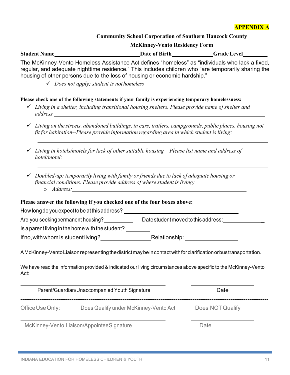# **APPENDIX A**

#### **Community School Corporation of Southern Hancock County**

**McKinney-Vento Residency Form**

**Student Name
<del>Mannellevel</del>
Bate of Birth
Bate of Birth
Grade Level
Grade Level
Student Name
Student Name
Student Name
Student Name
Student Name
Student Name
Student Name
Student Name
Student Name
Student Name
Student Name** 

The McKinney-Vento Homeless Assistance Act defines "homeless" as "individuals who lack a fixed, regular, and adequate nighttime residence." This includes children who "are temporarily sharing the housing of other persons due to the loss of housing or economic hardship."

#### **Please check one of the following statements if your family is experiencing temporary homelessness:**

- ü *Living in a shelter, including transitional housing shelters. Please provide name of shelter and address*
- ü *Living on the streets, abandoned buildings, in cars, trailers, campgrounds, public places, housing not fit for habitation--Please provide information regarding area in which student is living:*
- ü *Living in hotels/motels for lack of other suitable housing – Please list name and address of hotel/motel:*
- ü *Doubled-up; temporarily living with family or friends due to lack of adequate housing or financial conditions. Please provide address of where student is living:* o *Address:*

#### **Please answer the following if you checked one of the four boxes above:**

How longdo youexpecttobe atthisaddress?

Are you seeking permanent housing? Date student moved to this address:

Is a parent living in the home with the student?

Ifno,withwhomis studentliving? Relationship:

AMcKinney-VentoLiaisonrepresentingthedistrictmaybeincontactwithforclarificationorbustransportation.

We have read the information provided & indicated our living circumstances above specific to the McKinney-Vento Act:

|                  | Parent/Guardian/Unaccompanied Youth Signature | Date             |
|------------------|-----------------------------------------------|------------------|
| Office Use Only: | Does Qualify under McKinney-Vento Act         | Does NOT Qualify |

McKinney-Vento Liaison/AppointeeSignature **Date** Date

ü *Does not apply; student is nothomeless*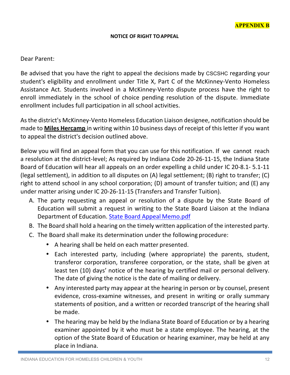#### **NOTICE OF RIGHT TO APPEAL**

#### Dear Parent:

Be advised that you have the right to appeal the decisions made by CSCSHC regarding your student's eligibility and enrollment under Title X, Part C of the McKinney-Vento Homeless Assistance Act. Students involved in a McKinney-Vento dispute process have the right to enroll immediately in the school of choice pending resolution of the dispute. Immediate enrollment includes full participation in all school activities.

As the district's McKinney-Vento Homeless Education Liaison designee, notification should be made to **Miles Hercamp** in writing within 10 business days of receipt of this letter if you want to appeal the district's decision outlined above.

Below you will find an appeal form that you can use for this notification. If we cannot reach a resolution at the district-level; As required by Indiana Code 20-26-11-15, the Indiana State Board of Education will hear all appeals on an order expelling a child under IC 20-8.1- 5.1-11 (legal settlement), in addition to all disputes on  $(A)$  legal settlement;  $(B)$  right to transfer;  $(C)$ right to attend school in any school corporation; (D) amount of transfer tuition; and (E) any under matter arising under IC 20-26-11-15 (Transfers and Transfer Tuition).

- A. The party requesting an appeal or resolution of a dispute by the State Board of Education will submit a request in writing to the State Board Liaison at the Indiana Department of Education. State Board Appeal Memo.pdf
- B. The Board shall hold a hearing on the timely written application of the interested party.
- C. The Board shall make its determination under the following procedure:
	- A hearing shall be held on each matter presented.
	- Each interested party, including (where appropriate) the parents, student, transferor corporation, transferee corporation, or the state, shall be given at least ten (10) days' notice of the hearing by certified mail or personal delivery. The date of giving the notice is the date of mailing or delivery.
	- Any interested party may appear at the hearing in person or by counsel, present evidence, cross-examine witnesses, and present in writing or orally summary statements of position, and a written or recorded transcript of the hearing shall be made.
	- The hearing may be held by the Indiana State Board of Education or by a hearing examiner appointed by it who must be a state employee. The hearing, at the option of the State Board of Education or hearing examiner, may be held at any place in Indiana.